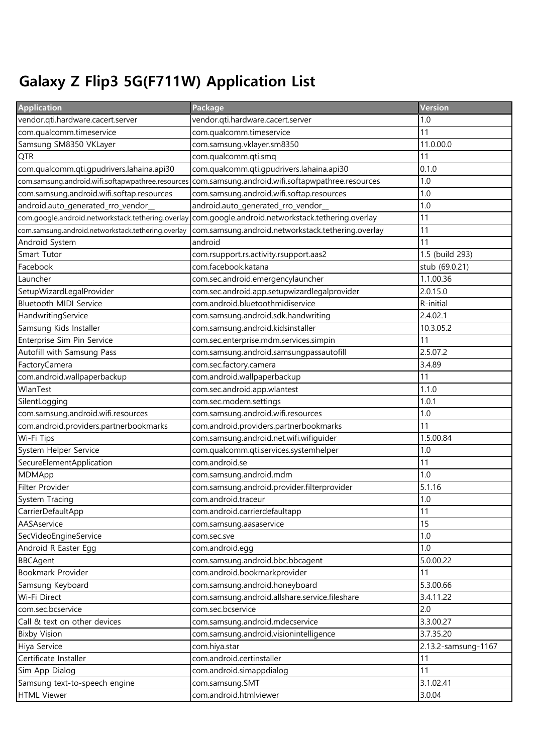## Galaxy Z Flip3 5G(F711W) Application List

| <b>Application</b>                                 | Package                                            | Version             |
|----------------------------------------------------|----------------------------------------------------|---------------------|
| vendor.qti.hardware.cacert.server                  | vendor.qti.hardware.cacert.server                  | 1.0                 |
| com.qualcomm.timeservice                           | com.qualcomm.timeservice                           | 11                  |
| Samsung SM8350 VKLayer                             | com.samsung.vklayer.sm8350                         | 11.0.00.0           |
| <b>QTR</b>                                         | com.qualcomm.qti.smq                               | 11                  |
| com.qualcomm.qti.gpudrivers.lahaina.api30          | com.qualcomm.qti.gpudrivers.lahaina.api30          | 0.1.0               |
| com.samsung.android.wifi.softapwpathree.resources  | com.samsung.android.wifi.softapwpathree.resources  | 1.0                 |
| com.samsung.android.wifi.softap.resources          | com.samsung.android.wifi.softap.resources          | 1.0                 |
| android.auto_generated_rro_vendor_                 | android.auto_generated_rro_vendor_                 | 1.0                 |
| com.google.android.networkstack.tethering.overlay  | com.google.android.networkstack.tethering.overlay  | 11                  |
| com.samsung.android.networkstack.tethering.overlay | com.samsung.android.networkstack.tethering.overlay | 11                  |
| Android System                                     | android                                            | 11                  |
| Smart Tutor                                        | com.rsupport.rs.activity.rsupport.aas2             | 1.5 (build 293)     |
| Facebook                                           | com.facebook.katana                                | stub (69.0.21)      |
| Launcher                                           | com.sec.android.emergencylauncher                  | 1.1.00.36           |
| SetupWizardLegalProvider                           | com.sec.android.app.setupwizardlegalprovider       | 2.0.15.0            |
| Bluetooth MIDI Service                             | com.android.bluetoothmidiservice                   | R-initial           |
| HandwritingService                                 | com.samsung.android.sdk.handwriting                | 2.4.02.1            |
| Samsung Kids Installer                             | com.samsung.android.kidsinstaller                  | 10.3.05.2           |
| Enterprise Sim Pin Service                         | com.sec.enterprise.mdm.services.simpin             | 11                  |
| Autofill with Samsung Pass                         | com.samsung.android.samsungpassautofill            | 2.5.07.2            |
| FactoryCamera                                      | com.sec.factory.camera                             | 3.4.89              |
| com.android.wallpaperbackup                        | com.android.wallpaperbackup                        | 11                  |
| WlanTest                                           | com.sec.android.app.wlantest                       | 1.1.0               |
| SilentLogging                                      | com.sec.modem.settings                             | 1.0.1               |
| com.samsung.android.wifi.resources                 | com.samsung.android.wifi.resources                 | 1.0                 |
| com.android.providers.partnerbookmarks             | com.android.providers.partnerbookmarks             | 11                  |
| Wi-Fi Tips                                         | com.samsung.android.net.wifi.wifiguider            | 1.5.00.84           |
| System Helper Service                              | com.qualcomm.qti.services.systemhelper             | 1.0                 |
| SecureElementApplication                           | com.android.se                                     | 11                  |
| MDMApp                                             | com.samsung.android.mdm                            | 1.0                 |
| Filter Provider                                    | com.samsung.android.provider.filterprovider        | 5.1.16              |
| System Tracing                                     | com.android.traceur                                | 1.0                 |
| CarrierDefaultApp                                  | com.android.carrierdefaultapp                      | 11                  |
| AASAservice                                        | com.samsung.aasaservice                            | 15                  |
| SecVideoEngineService                              | com.sec.sve                                        | 1.0                 |
| Android R Easter Egg                               | com.android.egg                                    | 1.0                 |
| <b>BBCAgent</b>                                    | com.samsung.android.bbc.bbcagent                   | 5.0.00.22           |
| Bookmark Provider                                  | com.android.bookmarkprovider                       | 11                  |
| Samsung Keyboard                                   | com.samsung.android.honeyboard                     | 5.3.00.66           |
| Wi-Fi Direct                                       | com.samsung.android.allshare.service.fileshare     | 3.4.11.22           |
| com.sec.bcservice                                  | com.sec.bcservice                                  | 2.0                 |
| Call & text on other devices                       | com.samsung.android.mdecservice                    | 3.3.00.27           |
| <b>Bixby Vision</b>                                | com.samsung.android.visionintelligence             | 3.7.35.20           |
| Hiya Service                                       | com.hiya.star                                      | 2.13.2-samsung-1167 |
| Certificate Installer                              | com.android.certinstaller                          | 11                  |
| Sim App Dialog                                     | com.android.simappdialog                           | 11                  |
| Samsung text-to-speech engine                      | com.samsung.SMT                                    | 3.1.02.41           |
| <b>HTML Viewer</b>                                 | com.android.htmlviewer                             | 3.0.04              |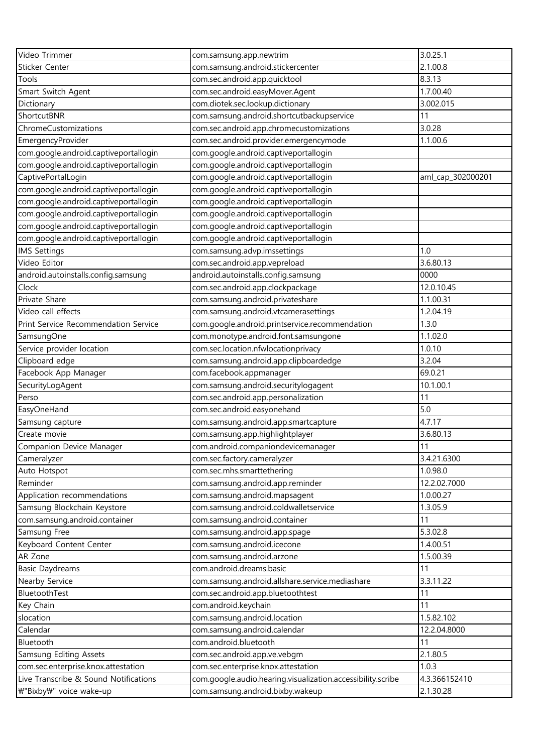| Video Trimmer                         | com.samsung.app.newtrim                                     | 3.0.25.1          |
|---------------------------------------|-------------------------------------------------------------|-------------------|
| Sticker Center                        | com.samsung.android.stickercenter                           | 2.1.00.8          |
| Tools                                 | com.sec.android.app.quicktool                               | 8.3.13            |
| Smart Switch Agent                    | com.sec.android.easyMover.Agent                             | 1.7.00.40         |
| Dictionary                            | com.diotek.sec.lookup.dictionary                            | 3.002.015         |
| ShortcutBNR                           | com.samsung.android.shortcutbackupservice                   | 11                |
| ChromeCustomizations                  | com.sec.android.app.chromecustomizations                    | 3.0.28            |
| EmergencyProvider                     | com.sec.android.provider.emergencymode                      | 1.1.00.6          |
| com.google.android.captiveportallogin | com.google.android.captiveportallogin                       |                   |
| com.google.android.captiveportallogin | com.google.android.captiveportallogin                       |                   |
| CaptivePortalLogin                    | com.google.android.captiveportallogin                       | aml_cap_302000201 |
| com.google.android.captiveportallogin | com.google.android.captiveportallogin                       |                   |
| com.google.android.captiveportallogin | com.google.android.captiveportallogin                       |                   |
| com.google.android.captiveportallogin | com.google.android.captiveportallogin                       |                   |
| com.google.android.captiveportallogin | com.google.android.captiveportallogin                       |                   |
| com.google.android.captiveportallogin | com.google.android.captiveportallogin                       |                   |
| <b>IMS Settings</b>                   | com.samsung.advp.imssettings                                | 1.0               |
| Video Editor                          | com.sec.android.app.vepreload                               | 3.6.80.13         |
| android.autoinstalls.config.samsung   | android.autoinstalls.config.samsung                         | 0000              |
| Clock                                 | com.sec.android.app.clockpackage                            | 12.0.10.45        |
| Private Share                         | com.samsung.android.privateshare                            | 1.1.00.31         |
| Video call effects                    | com.samsung.android.vtcamerasettings                        | 1.2.04.19         |
| Print Service Recommendation Service  | com.google.android.printservice.recommendation              | 1.3.0             |
| SamsungOne                            | com.monotype.android.font.samsungone                        | 1.1.02.0          |
| Service provider location             | com.sec.location.nfwlocationprivacy                         | 1.0.10            |
| Clipboard edge                        | com.samsung.android.app.clipboardedge                       | 3.2.04            |
| Facebook App Manager                  | com.facebook.appmanager                                     | 69.0.21           |
| SecurityLogAgent                      | com.samsung.android.securitylogagent                        | 10.1.00.1         |
| Perso                                 | com.sec.android.app.personalization                         | 11                |
| EasyOneHand                           | com.sec.android.easyonehand                                 | 5.0               |
| Samsung capture                       | com.samsung.android.app.smartcapture                        | 4.7.17            |
| Create movie                          | com.samsung.app.highlightplayer                             | 3.6.80.13         |
| Companion Device Manager              | com.android.companiondevicemanager                          | 11                |
| Cameralyzer                           | com.sec.factory.cameralyzer                                 | 3.4.21.6300       |
| Auto Hotspot                          | com.sec.mhs.smarttethering                                  | 1.0.98.0          |
| Reminder                              | com.samsung.android.app.reminder                            | 12.2.02.7000      |
| Application recommendations           | com.samsung.android.mapsagent                               | 1.0.00.27         |
| Samsung Blockchain Keystore           | com.samsung.android.coldwalletservice                       | 1.3.05.9          |
| com.samsung.android.container         | com.samsung.android.container                               | 11                |
| Samsung Free                          | com.samsung.android.app.spage                               | 5.3.02.8          |
| Keyboard Content Center               | com.samsung.android.icecone                                 | 1.4.00.51         |
| AR Zone                               | com.samsung.android.arzone                                  | 1.5.00.39         |
| <b>Basic Daydreams</b>                | com.android.dreams.basic                                    | 11                |
| Nearby Service                        | com.samsung.android.allshare.service.mediashare             | 3.3.11.22         |
| BluetoothTest                         | com.sec.android.app.bluetoothtest                           | 11                |
| Key Chain                             | com.android.keychain                                        | 11                |
| slocation                             | com.samsung.android.location                                | 1.5.82.102        |
| Calendar                              | com.samsung.android.calendar                                | 12.2.04.8000      |
| Bluetooth                             | com.android.bluetooth                                       | 11                |
| Samsung Editing Assets                | com.sec.android.app.ve.vebgm                                | 2.1.80.5          |
| com.sec.enterprise.knox.attestation   | com.sec.enterprise.knox.attestation                         | 1.0.3             |
| Live Transcribe & Sound Notifications | com.google.audio.hearing.visualization.accessibility.scribe | 4.3.366152410     |
| ₩"Bixby₩" voice wake-up               | com.samsung.android.bixby.wakeup                            | 2.1.30.28         |
|                                       |                                                             |                   |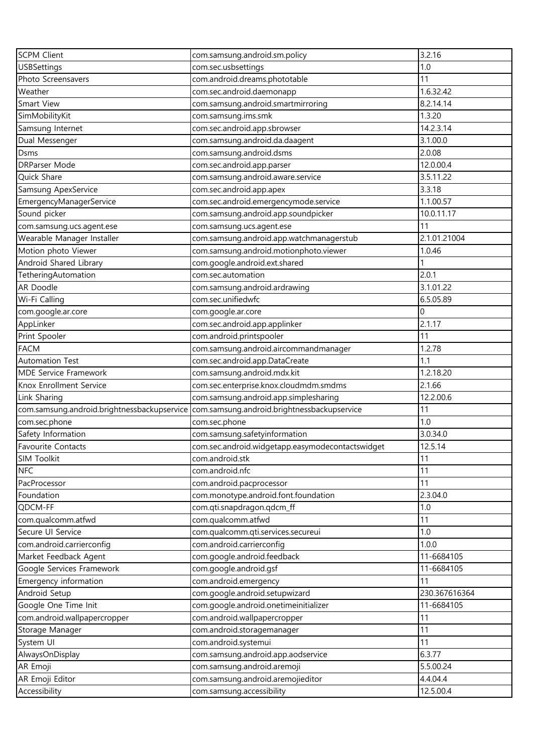| <b>SCPM Client</b>                          | com.samsung.android.sm.policy                    | 3.2.16        |
|---------------------------------------------|--------------------------------------------------|---------------|
| <b>USBSettings</b>                          | com.sec.usbsettings                              | 1.0           |
| Photo Screensavers                          | com.android.dreams.phototable                    | 11            |
| Weather                                     | com.sec.android.daemonapp                        | 1.6.32.42     |
| Smart View                                  | com.samsung.android.smartmirroring               | 8.2.14.14     |
| SimMobilityKit                              | com.samsung.ims.smk                              | 1.3.20        |
| Samsung Internet                            | com.sec.android.app.sbrowser                     | 14.2.3.14     |
| Dual Messenger                              | com.samsung.android.da.daagent                   | 3.1.00.0      |
| Dsms                                        | com.samsung.android.dsms                         | 2.0.08        |
| DRParser Mode                               | com.sec.android.app.parser                       | 12.0.00.4     |
| Quick Share                                 | com.samsung.android.aware.service                | 3.5.11.22     |
| Samsung ApexService                         | com.sec.android.app.apex                         | 3.3.18        |
| EmergencyManagerService                     | com.sec.android.emergencymode.service            | 1.1.00.57     |
| Sound picker                                | com.samsung.android.app.soundpicker              | 10.0.11.17    |
| com.samsung.ucs.agent.ese                   | com.samsung.ucs.agent.ese                        | 11            |
| Wearable Manager Installer                  | com.samsung.android.app.watchmanagerstub         | 2.1.01.21004  |
| Motion photo Viewer                         | com.samsung.android.motionphoto.viewer           | 1.0.46        |
| Android Shared Library                      | com.google.android.ext.shared                    |               |
| TetheringAutomation                         | com.sec.automation                               | 2.0.1         |
| AR Doodle                                   | com.samsung.android.ardrawing                    | 3.1.01.22     |
| Wi-Fi Calling                               | com.sec.unifiedwfc                               | 6.5.05.89     |
| com.google.ar.core                          | com.google.ar.core                               | 0             |
| AppLinker                                   | com.sec.android.app.applinker                    | 2.1.17        |
| Print Spooler                               | com.android.printspooler                         | 11            |
| <b>FACM</b>                                 | com.samsung.android.aircommandmanager            | 1.2.78        |
| <b>Automation Test</b>                      | com.sec.android.app.DataCreate                   | 1.1           |
| MDE Service Framework                       | com.samsung.android.mdx.kit                      | 1.2.18.20     |
| Knox Enrollment Service                     | com.sec.enterprise.knox.cloudmdm.smdms           | 2.1.66        |
| Link Sharing                                | com.samsung.android.app.simplesharing            | 12.2.00.6     |
| com.samsung.android.brightnessbackupservice | com.samsung.android.brightnessbackupservice      | 11            |
| com.sec.phone                               | com.sec.phone                                    | 1.0           |
| Safety Information                          | com.samsung.safetyinformation                    | 3.0.34.0      |
| <b>Favourite Contacts</b>                   | com.sec.android.widgetapp.easymodecontactswidget | 12.5.14       |
| SIM Toolkit                                 | com.android.stk                                  | 11            |
| <b>NFC</b>                                  | com.android.nfc                                  | 11            |
| PacProcessor                                | com.android.pacprocessor                         | 11            |
| Foundation                                  | com.monotype.android.font.foundation             | 2.3.04.0      |
| QDCM-FF                                     | com.qti.snapdragon.qdcm_ff                       | 1.0           |
| com.qualcomm.atfwd                          | com.qualcomm.atfwd                               | 11            |
| Secure UI Service                           | com.qualcomm.qti.services.secureui               | 1.0           |
| com.android.carrierconfig                   | com.android.carrierconfig                        | 1.0.0         |
| Market Feedback Agent                       | com.google.android.feedback                      | 11-6684105    |
| Google Services Framework                   | com.google.android.gsf                           | 11-6684105    |
| Emergency information                       | com.android.emergency                            | 11            |
| Android Setup                               | com.google.android.setupwizard                   | 230.367616364 |
| Google One Time Init                        | com.google.android.onetimeinitializer            | 11-6684105    |
| com.android.wallpapercropper                | com.android.wallpapercropper                     | 11            |
| Storage Manager                             | com.android.storagemanager                       | 11            |
| System UI                                   | com.android.systemui                             | 11            |
| AlwaysOnDisplay                             | com.samsung.android.app.aodservice               | 6.3.77        |
| AR Emoji                                    | com.samsung.android.aremoji                      | 5.5.00.24     |
| AR Emoji Editor                             | com.samsung.android.aremojieditor                | 4.4.04.4      |
| Accessibility                               | com.samsung.accessibility                        | 12.5.00.4     |
|                                             |                                                  |               |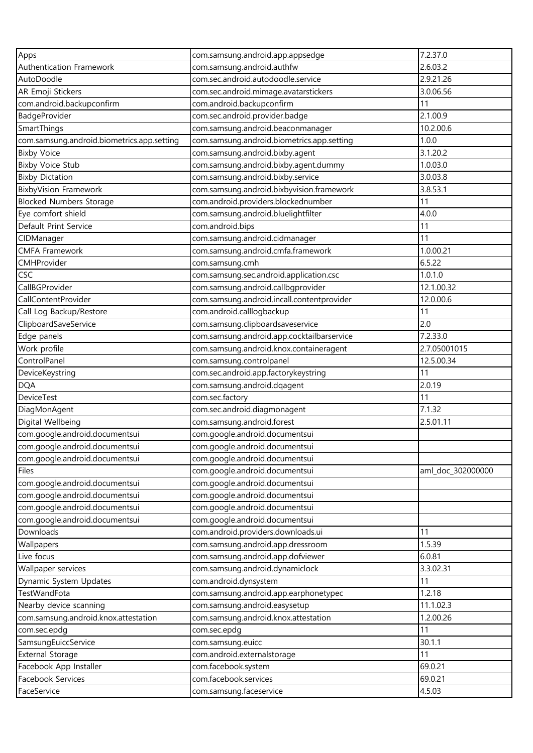| Apps                                       | com.samsung.android.app.appsedge           | 7.2.37.0          |
|--------------------------------------------|--------------------------------------------|-------------------|
| Authentication Framework                   | com.samsung.android.authfw                 | 2.6.03.2          |
| AutoDoodle                                 | com.sec.android.autodoodle.service         | 2.9.21.26         |
| AR Emoji Stickers                          | com.sec.android.mimage.avatarstickers      | 3.0.06.56         |
| com.android.backupconfirm                  | com.android.backupconfirm                  | 11                |
| BadgeProvider                              | com.sec.android.provider.badge             | 2.1.00.9          |
| SmartThings                                | com.samsung.android.beaconmanager          | 10.2.00.6         |
| com.samsung.android.biometrics.app.setting | com.samsung.android.biometrics.app.setting | 1.0.0             |
| <b>Bixby Voice</b>                         | com.samsung.android.bixby.agent            | 3.1.20.2          |
| <b>Bixby Voice Stub</b>                    | com.samsung.android.bixby.agent.dummy      | 1.0.03.0          |
| <b>Bixby Dictation</b>                     | com.samsung.android.bixby.service          | 3.0.03.8          |
| <b>BixbyVision Framework</b>               | com.samsung.android.bixbyvision.framework  | 3.8.53.1          |
| <b>Blocked Numbers Storage</b>             | com.android.providers.blockednumber        | 11                |
| Eye comfort shield                         |                                            | 4.0.0             |
| Default Print Service                      | com.samsung.android.bluelightfilter        | 11                |
|                                            | com.android.bips                           | 11                |
| CIDManager                                 | com.samsung.android.cidmanager             |                   |
| <b>CMFA Framework</b>                      | com.samsung.android.cmfa.framework         | 1.0.00.21         |
| CMHProvider                                | com.samsung.cmh                            | 6.5.22            |
| <b>CSC</b>                                 | com.samsung.sec.android.application.csc    | 1.0.1.0           |
| CallBGProvider                             | com.samsung.android.callbgprovider         | 12.1.00.32        |
| CallContentProvider                        | com.samsung.android.incall.contentprovider | 12.0.00.6         |
| Call Log Backup/Restore                    | com.android.calllogbackup                  | 11                |
| ClipboardSaveService                       | com.samsung.clipboardsaveservice           | 2.0               |
| Edge panels                                | com.samsung.android.app.cocktailbarservice | 7.2.33.0          |
| Work profile                               | com.samsung.android.knox.containeragent    | 2.7.05001015      |
| ControlPanel                               | com.samsung.controlpanel                   | 12.5.00.34        |
| DeviceKeystring                            | com.sec.android.app.factorykeystring       | 11                |
| <b>DQA</b>                                 | com.samsung.android.dqagent                | 2.0.19            |
| <b>DeviceTest</b>                          | com.sec.factory                            | 11                |
| DiagMonAgent                               | com.sec.android.diagmonagent               | 7.1.32            |
| Digital Wellbeing                          | com.samsung.android.forest                 | 2.5.01.11         |
| com.google.android.documentsui             | com.google.android.documentsui             |                   |
| com.google.android.documentsui             | com.google.android.documentsui             |                   |
| com.google.android.documentsui             | com.google.android.documentsui             |                   |
| Files                                      | com.google.android.documentsui             | aml_doc_302000000 |
| com.google.android.documentsui             | com.google.android.documentsui             |                   |
| com.google.android.documentsui             | com.google.android.documentsui             |                   |
| com.google.android.documentsui             | com.google.android.documentsui             |                   |
| com.google.android.documentsui             | com.google.android.documentsui             |                   |
| Downloads                                  | com.android.providers.downloads.ui         | 11                |
| Wallpapers                                 | com.samsung.android.app.dressroom          | 1.5.39            |
| Live focus                                 | com.samsung.android.app.dofviewer          | 6.0.81            |
| Wallpaper services                         | com.samsung.android.dynamiclock            | 3.3.02.31         |
| Dynamic System Updates                     | com.android.dynsystem                      | 11                |
| TestWandFota                               | com.samsung.android.app.earphonetypec      | 1.2.18            |
| Nearby device scanning                     | com.samsung.android.easysetup              | 11.1.02.3         |
| com.samsung.android.knox.attestation       | com.samsung.android.knox.attestation       | 1.2.00.26         |
| com.sec.epdq                               | com.sec.epdg                               | 11                |
| SamsungEuiccService                        | com.samsung.euicc                          | 30.1.1            |
| <b>External Storage</b>                    | com.android.externalstorage                | 11                |
| Facebook App Installer                     | com.facebook.system                        | 69.0.21           |
| Facebook Services                          | com.facebook.services                      | 69.0.21           |
| FaceService                                | com.samsung.faceservice                    | 4.5.03            |
|                                            |                                            |                   |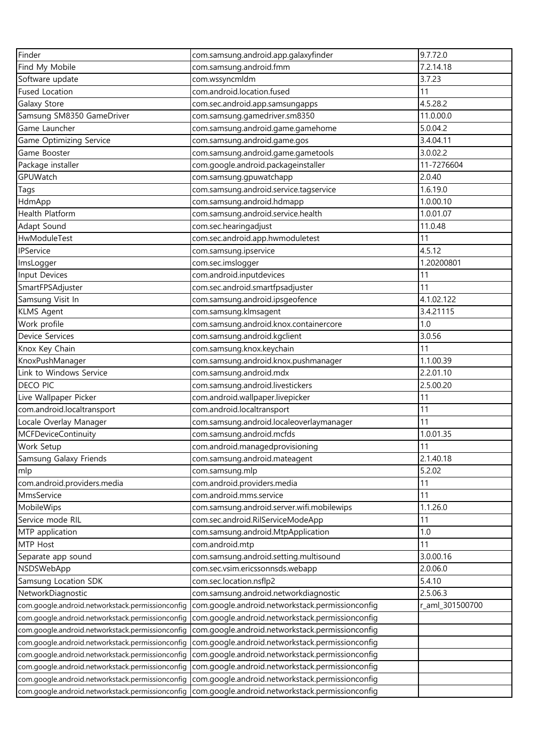| Finder                                           | com.samsung.android.app.galaxyfinder             | 9.7.72.0        |
|--------------------------------------------------|--------------------------------------------------|-----------------|
| Find My Mobile                                   | com.samsung.android.fmm                          | 7.2.14.18       |
| Software update                                  | com.wssyncmldm                                   | 3.7.23          |
| <b>Fused Location</b>                            | com.android.location.fused                       | 11              |
| Galaxy Store                                     | com.sec.android.app.samsungapps                  | 4.5.28.2        |
| Samsung SM8350 GameDriver                        | com.samsung.gamedriver.sm8350                    | 11.0.00.0       |
| Game Launcher                                    | com.samsung.android.game.gamehome                | 5.0.04.2        |
| Game Optimizing Service                          | com.samsung.android.game.gos                     | 3.4.04.11       |
| Game Booster                                     | com.samsung.android.game.gametools               | 3.0.02.2        |
| Package installer                                | com.google.android.packageinstaller              | 11-7276604      |
| GPUWatch                                         | com.samsung.gpuwatchapp                          | 2.0.40          |
| <b>Tags</b>                                      | com.samsung.android.service.tagservice           | 1.6.19.0        |
| HdmApp                                           | com.samsung.android.hdmapp                       | 1.0.00.10       |
| Health Platform                                  | com.samsung.android.service.health               | 1.0.01.07       |
| Adapt Sound                                      | com.sec.hearingadjust                            | 11.0.48         |
| HwModuleTest                                     | com.sec.android.app.hwmoduletest                 | 11              |
| <b>IPService</b>                                 | com.samsung.ipservice                            | 4.5.12          |
| ImsLogger                                        | com.sec.imslogger                                | 1.20200801      |
| Input Devices                                    | com.android.inputdevices                         | 11              |
| SmartFPSAdjuster                                 | com.sec.android.smartfpsadjuster                 | 11              |
| Samsung Visit In                                 | com.samsung.android.ipsgeofence                  | 4.1.02.122      |
| <b>KLMS Agent</b>                                | com.samsung.klmsagent                            | 3.4.21115       |
| Work profile                                     | com.samsung.android.knox.containercore           | 1.0             |
| Device Services                                  | com.samsung.android.kgclient                     | 3.0.56          |
| Knox Key Chain                                   | com.samsung.knox.keychain                        | 11              |
| KnoxPushManager                                  | com.samsung.android.knox.pushmanager             | 1.1.00.39       |
| Link to Windows Service                          | com.samsung.android.mdx                          | 2.2.01.10       |
| <b>DECO PIC</b>                                  | com.samsung.android.livestickers                 | 2.5.00.20       |
| Live Wallpaper Picker                            | com.android.wallpaper.livepicker                 | 11              |
| com.android.localtransport                       | com.android.localtransport                       | 11              |
| Locale Overlay Manager                           | com.samsung.android.localeoverlaymanager         | 11              |
| <b>MCFDeviceContinuity</b>                       | com.samsung.android.mcfds                        | 1.0.01.35       |
| Work Setup                                       | com.android.managedprovisioning                  | 11              |
| Samsung Galaxy Friends                           | com.samsung.android.mateagent                    | 2.1.40.18       |
| mlp                                              | com.samsung.mlp                                  | 5.2.02          |
| com.android.providers.media                      | com.android.providers.media                      | 11              |
| MmsService                                       | com.android.mms.service                          | 11              |
| MobileWips                                       | com.samsung.android.server.wifi.mobilewips       | 1.1.26.0        |
| Service mode RIL                                 | com.sec.android.RilServiceModeApp                | 11              |
| MTP application                                  | com.samsung.android.MtpApplication               | 1.0             |
| MTP Host                                         | com.android.mtp                                  | 11              |
| Separate app sound                               | com.samsung.android.setting.multisound           | 3.0.00.16       |
| NSDSWebApp                                       | com.sec.vsim.ericssonnsds.webapp                 | 2.0.06.0        |
| Samsung Location SDK                             | com.sec.location.nsflp2                          | 5.4.10          |
| NetworkDiagnostic                                | com.samsung.android.networkdiagnostic            | 2.5.06.3        |
| com.google.android.networkstack.permissionconfig | com.google.android.networkstack.permissionconfig | r_aml_301500700 |
| com.google.android.networkstack.permissionconfig | com.google.android.networkstack.permissionconfig |                 |
| com.google.android.networkstack.permissionconfig | com.google.android.networkstack.permissionconfig |                 |
| com.google.android.networkstack.permissionconfig | com.google.android.networkstack.permissionconfig |                 |
| com.google.android.networkstack.permissionconfig | com.google.android.networkstack.permissionconfig |                 |
| com.google.android.networkstack.permissionconfig | com.google.android.networkstack.permissionconfig |                 |
| com.google.android.networkstack.permissionconfig | com.google.android.networkstack.permissionconfig |                 |
| com.google.android.networkstack.permissionconfig | com.google.android.networkstack.permissionconfig |                 |
|                                                  |                                                  |                 |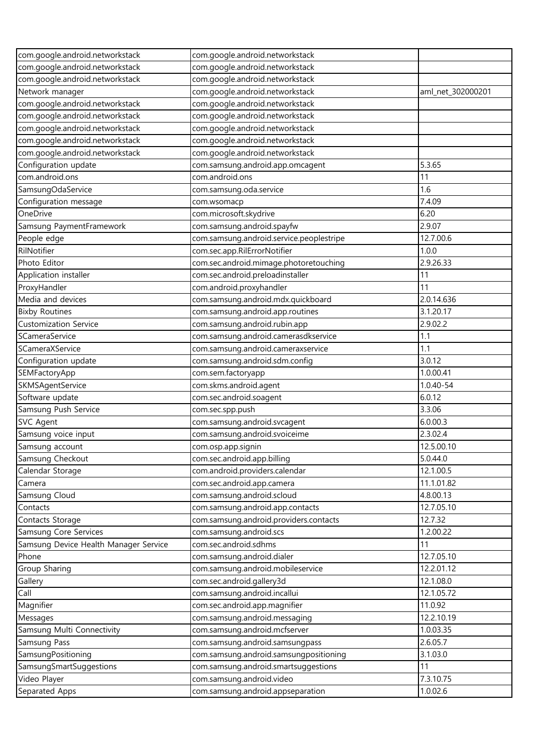| com.google.android.networkstack       | com.google.android.networkstack          |                   |
|---------------------------------------|------------------------------------------|-------------------|
| com.google.android.networkstack       | com.google.android.networkstack          |                   |
| com.google.android.networkstack       | com.google.android.networkstack          |                   |
| Network manager                       | com.google.android.networkstack          | aml_net_302000201 |
| com.google.android.networkstack       | com.google.android.networkstack          |                   |
| com.google.android.networkstack       | com.google.android.networkstack          |                   |
| com.google.android.networkstack       | com.google.android.networkstack          |                   |
| com.google.android.networkstack       | com.google.android.networkstack          |                   |
| com.google.android.networkstack       | com.google.android.networkstack          |                   |
| Configuration update                  | com.samsung.android.app.omcagent         | 5.3.65            |
| com.android.ons                       | com.android.ons                          | 11                |
| SamsungOdaService                     | com.samsung.oda.service                  | 1.6               |
| Configuration message                 | com.wsomacp                              | 7.4.09            |
| OneDrive                              | com.microsoft.skydrive                   | 6.20              |
| Samsung PaymentFramework              | com.samsung.android.spayfw               | 2.9.07            |
| People edge                           | com.samsung.android.service.peoplestripe | 12.7.00.6         |
| RilNotifier                           | com.sec.app.RilErrorNotifier             | 1.0.0             |
| Photo Editor                          | com.sec.android.mimage.photoretouching   | 2.9.26.33         |
| Application installer                 | com.sec.android.preloadinstaller         | 11                |
| ProxyHandler                          | com.android.proxyhandler                 | 11                |
| Media and devices                     | com.samsung.android.mdx.quickboard       | 2.0.14.636        |
| <b>Bixby Routines</b>                 | com.samsung.android.app.routines         | 3.1.20.17         |
| <b>Customization Service</b>          | com.samsung.android.rubin.app            | 2.9.02.2          |
| SCameraService                        | com.samsung.android.camerasdkservice     | 1.1               |
| SCameraXService                       | com.samsung.android.cameraxservice       | 1.1               |
| Configuration update                  | com.samsung.android.sdm.config           | 3.0.12            |
| SEMFactoryApp                         | com.sem.factoryapp                       | 1.0.00.41         |
| SKMSAgentService                      | com.skms.android.agent                   | 1.0.40-54         |
| Software update                       | com.sec.android.soagent                  | 6.0.12            |
| Samsung Push Service                  | com.sec.spp.push                         | 3.3.06            |
| SVC Agent                             | com.samsung.android.svcagent             | 6.0.00.3          |
| Samsung voice input                   | com.samsung.android.svoiceime            | 2.3.02.4          |
| Samsung account                       | com.osp.app.signin                       | 12.5.00.10        |
| Samsung Checkout                      | com.sec.android.app.billing              | 5.0.44.0          |
| Calendar Storage                      | com.android.providers.calendar           | 12.1.00.5         |
| Camera                                | com.sec.android.app.camera               | 11.1.01.82        |
| Samsung Cloud                         | com.samsung.android.scloud               | 4.8.00.13         |
| Contacts                              | com.samsung.android.app.contacts         | 12.7.05.10        |
| Contacts Storage                      | com.samsung.android.providers.contacts   | 12.7.32           |
| Samsung Core Services                 | com.samsung.android.scs                  | 1.2.00.22         |
| Samsung Device Health Manager Service | com.sec.android.sdhms                    | 11                |
| Phone                                 | com.samsung.android.dialer               | 12.7.05.10        |
| Group Sharing                         | com.samsung.android.mobileservice        | 12.2.01.12        |
| Gallery                               | com.sec.android.gallery3d                | 12.1.08.0         |
| Call                                  | com.samsung.android.incallui             | 12.1.05.72        |
| Magnifier                             | com.sec.android.app.magnifier            | 11.0.92           |
| Messages                              | com.samsung.android.messaging            | 12.2.10.19        |
| Samsung Multi Connectivity            | com.samsung.android.mcfserver            | 1.0.03.35         |
| Samsung Pass                          | com.samsung.android.samsungpass          | 2.6.05.7          |
| SamsungPositioning                    | com.samsung.android.samsungpositioning   | 3.1.03.0          |
| SamsungSmartSuggestions               | com.samsung.android.smartsuggestions     | 11                |
| Video Player                          | com.samsung.android.video                | 7.3.10.75         |
| Separated Apps                        | com.samsung.android.appseparation        | 1.0.02.6          |
|                                       |                                          |                   |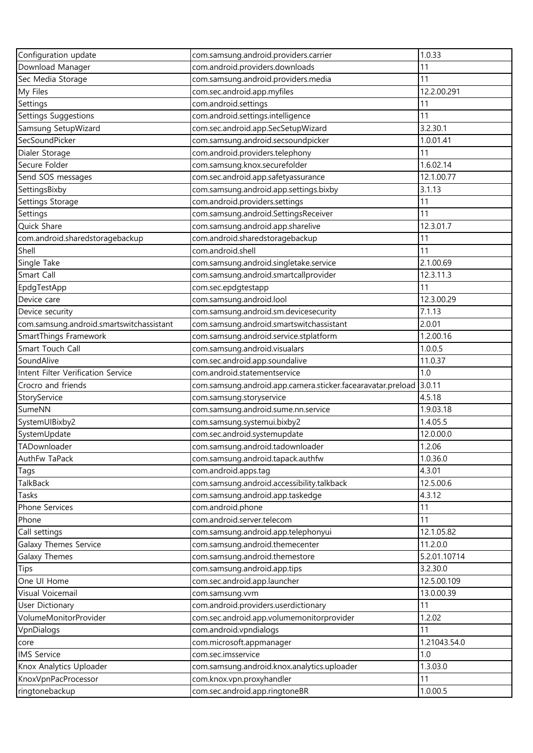| Configuration update                            | com.samsung.android.providers.carrier                       | 1.0.33           |
|-------------------------------------------------|-------------------------------------------------------------|------------------|
| Download Manager                                | com.android.providers.downloads                             | 11               |
| Sec Media Storage                               | com.samsung.android.providers.media                         | 11               |
| My Files                                        | com.sec.android.app.myfiles                                 | 12.2.00.291      |
| Settings                                        | com.android.settings                                        | 11               |
| Settings Suggestions                            | com.android.settings.intelligence                           | 11               |
| Samsung SetupWizard                             | com.sec.android.app.SecSetupWizard                          | 3.2.30.1         |
| SecSoundPicker                                  | com.samsung.android.secsoundpicker                          | 1.0.01.41        |
| Dialer Storage                                  | com.android.providers.telephony                             | 11               |
| Secure Folder                                   | com.samsung.knox.securefolder                               | 1.6.02.14        |
| Send SOS messages                               | com.sec.android.app.safetyassurance                         | 12.1.00.77       |
| SettingsBixby                                   | com.samsung.android.app.settings.bixby                      | 3.1.13           |
| Settings Storage                                | com.android.providers.settings                              | 11               |
| Settings                                        | com.samsung.android.SettingsReceiver                        | 11               |
| Quick Share                                     | com.samsung.android.app.sharelive                           | 12.3.01.7        |
| com.android.sharedstoragebackup                 | com.android.sharedstoragebackup                             | 11               |
| Shell                                           | com.android.shell                                           | 11               |
| Single Take                                     | com.samsung.android.singletake.service                      | 2.1.00.69        |
| Smart Call                                      | com.samsung.android.smartcallprovider                       | 12.3.11.3        |
| EpdgTestApp                                     | com.sec.epdgtestapp                                         | 11               |
| Device care                                     | com.samsung.android.lool                                    | 12.3.00.29       |
| Device security                                 | com.samsung.android.sm.devicesecurity                       | 7.1.13           |
| com.samsung.android.smartswitchassistant        | com.samsung.android.smartswitchassistant                    | 2.0.01           |
| SmartThings Framework                           | com.samsung.android.service.stplatform                      | 1.2.00.16        |
| Smart Touch Call                                | com.samsung.android.visualars                               | 1.0.0.5          |
| SoundAlive                                      | com.sec.android.app.soundalive                              | 11.0.37          |
| Intent Filter Verification Service              | com.android.statementservice                                | 1.0              |
| Crocro and friends                              | com.samsung.android.app.camera.sticker.facearavatar.preload | 3.0.11           |
| StoryService                                    | com.samsung.storyservice                                    | 4.5.18           |
| SumeNN                                          | com.samsung.android.sume.nn.service                         | 1.9.03.18        |
| SystemUIBixby2                                  | com.samsung.systemui.bixby2                                 | 1.4.05.5         |
| SystemUpdate                                    | com.sec.android.systemupdate                                | 12.0.00.0        |
| TADownloader                                    | com.samsung.android.tadownloader                            | 1.2.06           |
| AuthFw TaPack                                   | com.samsung.android.tapack.authfw                           | 1.0.36.0         |
| Tags                                            | com.android.apps.tag                                        | 4.3.01           |
| <b>TalkBack</b>                                 | com.samsung.android.accessibility.talkback                  | 12.5.00.6        |
| Tasks                                           | com.samsung.android.app.taskedge                            | 4.3.12           |
| Phone Services                                  | com.android.phone                                           | 11               |
| Phone                                           | com.android.server.telecom                                  | 11               |
| Call settings                                   | com.samsung.android.app.telephonyui                         | 12.1.05.82       |
| Galaxy Themes Service                           | com.samsung.android.themecenter                             | 11.2.0.0         |
| <b>Galaxy Themes</b>                            | com.samsung.android.themestore                              | 5.2.01.10714     |
| Tips                                            | com.samsung.android.app.tips                                | 3.2.30.0         |
|                                                 |                                                             |                  |
| One UI Home<br>Visual Voicemail                 | com.sec.android.app.launcher                                | 12.5.00.109      |
|                                                 | com.samsung.vvm                                             | 13.0.00.39<br>11 |
| <b>User Dictionary</b><br>VolumeMonitorProvider | com.android.providers.userdictionary                        | 1.2.02           |
|                                                 | com.sec.android.app.volumemonitorprovider                   |                  |
| VpnDialogs                                      | com.android.vpndialogs                                      | 11               |
| core                                            | com.microsoft.appmanager                                    | 1.21043.54.0     |
| <b>IMS Service</b>                              | com.sec.imsservice                                          | 1.0              |
| Knox Analytics Uploader                         | com.samsung.android.knox.analytics.uploader                 | 1.3.03.0         |
| KnoxVpnPacProcessor                             | com.knox.vpn.proxyhandler                                   | 11               |
| ringtonebackup                                  | com.sec.android.app.ringtoneBR                              | 1.0.00.5         |